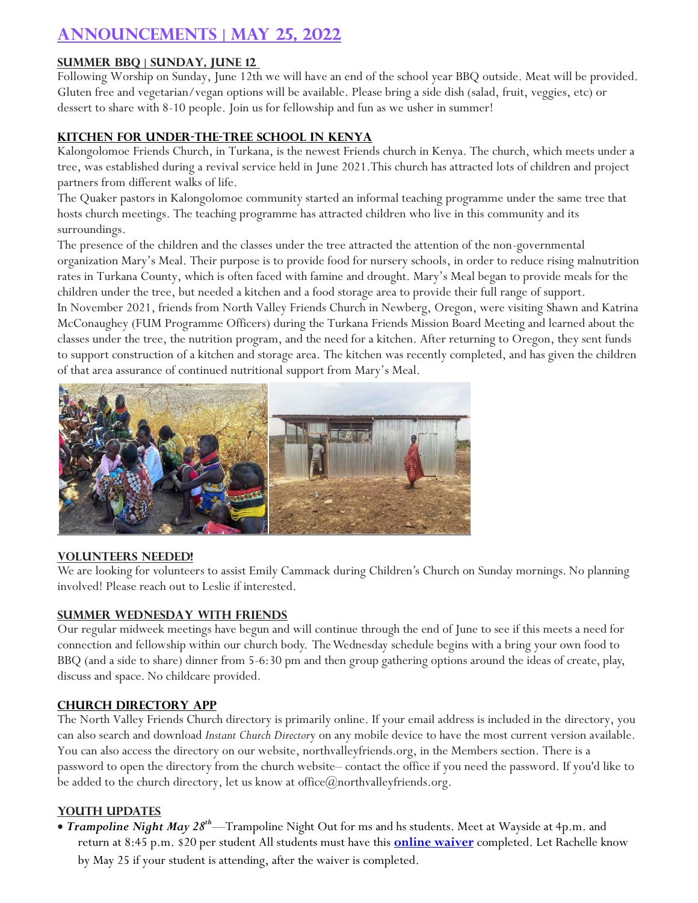# **Announcements | May 25, 2022**

## **Summer BBQ | Sunday, June 12**

Following Worship on Sunday, June 12th we will have an end of the school year BBQ outside. Meat will be provided. Gluten free and vegetarian/vegan options will be available. Please bring a side dish (salad, fruit, veggies, etc) or dessert to share with 8-10 people. Join us for fellowship and fun as we usher in summer!

#### **Kitchen for Under-the-Tree School in Kenya**

Kalongolomoe Friends Church, in Turkana, is the newest Friends church in Kenya. The church, which meets under a tree, was established during a revival service held in June 2021.This church has attracted lots of children and project partners from different walks of life.

The Quaker pastors in Kalongolomoe community started an informal teaching programme under the same tree that hosts church meetings. The teaching programme has attracted children who live in this community and its surroundings.

The presence of the children and the classes under the tree attracted the attention of the non-governmental organization Mary's Meal. Their purpose is to provide food for nursery schools, in order to reduce rising malnutrition rates in Turkana County, which is often faced with famine and drought. Mary's Meal began to provide meals for the children under the tree, but needed a kitchen and a food storage area to provide their full range of support.

In November 2021, friends from North Valley Friends Church in Newberg, Oregon, were visiting Shawn and Katrina McConaughey (FUM Programme Officers) during the Turkana Friends Mission Board Meeting and learned about the classes under the tree, the nutrition program, and the need for a kitchen. After returning to Oregon, they sent funds to support construction of a kitchen and storage area. The kitchen was recently completed, and has given the children of that area assurance of continued nutritional support from Mary's Meal.



#### **Volunteers needed!**

We are looking for volunteers to assist Emily Cammack during Children's Church on Sunday mornings. No planning involved! Please reach out to Leslie if interested.

## **Summer Wednesday with Friends**

Our regular midweek meetings have begun and will continue through the end of June to see if this meets a need for connection and fellowship within our church body. The Wednesday schedule begins with a bring your own food to BBQ (and a side to share) dinner from 5-6:30 pm and then group gathering options around the ideas of create, play, discuss and space. No childcare provided.

## **Church Directory app**

The North Valley Friends Church directory is primarily online. If your email address is included in the directory, you can also search and download *Instant Church Director*y on any mobile device to have the most current version available. You can also access the directory on our website, northvalleyfriends.org, in the Members section. There is a password to open the directory from the church website– contact the office if you need the password. If you'd like to be added to the church directory, let us know at office@northvalleyfriends.org.

## **Youth Updates**

 *Trampoline Night May 28th*—Trampoline Night Out for ms and hs students. Meet at Wayside at 4p.m. and return at 8:45 p.m. \$20 per student All students must have this **[online waiver](https://salem.getairmanagement.com/GroupWaiver.html)** completed. Let Rachelle know by May 25 if your student is attending, after the waiver is completed.